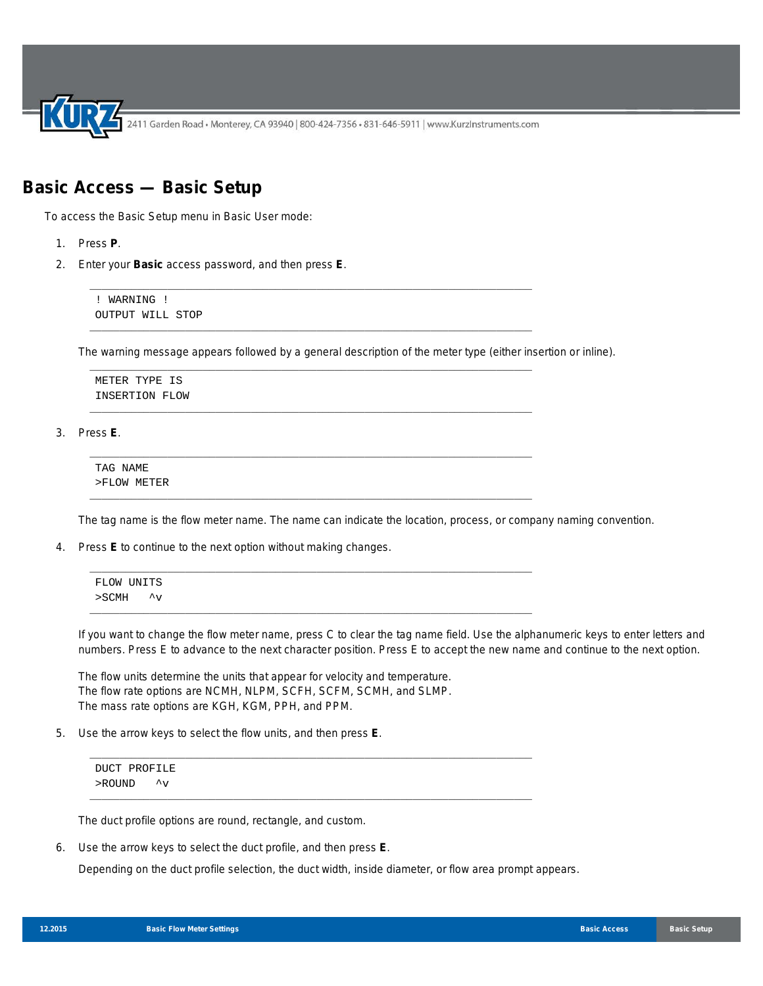## **Basic Access — Basic Setup**

To access the Basic Setup menu in Basic User mode:

- 1. Press **P**.
- 2. Enter your **Basic** access password, and then press **E**.

! WARNING ! OUTPUT WILL STOP

The warning message appears followed by a general description of the meter type (either insertion or inline).

\_\_\_\_\_\_\_\_\_\_\_\_\_\_\_\_\_\_\_\_\_\_\_\_\_\_\_\_\_\_\_\_\_\_\_\_\_\_\_\_\_\_\_\_\_\_\_\_\_\_\_\_\_\_\_\_\_\_\_\_\_\_\_\_\_\_\_\_\_\_\_\_\_\_

\_\_\_\_\_\_\_\_\_\_\_\_\_\_\_\_\_\_\_\_\_\_\_\_\_\_\_\_\_\_\_\_\_\_\_\_\_\_\_\_\_\_\_\_\_\_\_\_\_\_\_\_\_\_\_\_\_\_\_\_\_\_\_\_\_\_\_\_\_\_\_\_\_\_

\_\_\_\_\_\_\_\_\_\_\_\_\_\_\_\_\_\_\_\_\_\_\_\_\_\_\_\_\_\_\_\_\_\_\_\_\_\_\_\_\_\_\_\_\_\_\_\_\_\_\_\_\_\_\_\_\_\_\_\_\_\_\_\_\_\_\_\_\_\_\_\_\_\_

\_\_\_\_\_\_\_\_\_\_\_\_\_\_\_\_\_\_\_\_\_\_\_\_\_\_\_\_\_\_\_\_\_\_\_\_\_\_\_\_\_\_\_\_\_\_\_\_\_\_\_\_\_\_\_\_\_\_\_\_\_\_\_\_\_\_\_\_\_\_\_\_\_\_

\_\_\_\_\_\_\_\_\_\_\_\_\_\_\_\_\_\_\_\_\_\_\_\_\_\_\_\_\_\_\_\_\_\_\_\_\_\_\_\_\_\_\_\_\_\_\_\_\_\_\_\_\_\_\_\_\_\_\_\_\_\_\_\_\_\_\_\_\_\_\_\_\_\_

\_\_\_\_\_\_\_\_\_\_\_\_\_\_\_\_\_\_\_\_\_\_\_\_\_\_\_\_\_\_\_\_\_\_\_\_\_\_\_\_\_\_\_\_\_\_\_\_\_\_\_\_\_\_\_\_\_\_\_\_\_\_\_\_\_\_\_\_\_\_\_\_\_\_

METER TYPE IS INSERTION FLOW

3. Press **E**.

TAG NAME >FLOW METER

The tag name is the flow meter name. The name can indicate the location, process, or company naming convention.

4. Press **E** to continue to the next option without making changes.

| FLOW UNITS |  |  |  |
|------------|--|--|--|
| >SCMH ^v   |  |  |  |
|            |  |  |  |

\_\_\_\_\_\_\_\_\_\_\_\_\_\_\_\_\_\_\_\_\_\_\_\_\_\_\_\_\_\_\_\_\_\_\_\_\_\_\_\_\_\_\_\_\_\_\_\_\_\_\_\_\_\_\_\_\_\_\_\_\_\_\_\_\_\_\_\_\_\_\_\_\_\_

\_\_\_\_\_\_\_\_\_\_\_\_\_\_\_\_\_\_\_\_\_\_\_\_\_\_\_\_\_\_\_\_\_\_\_\_\_\_\_\_\_\_\_\_\_\_\_\_\_\_\_\_\_\_\_\_\_\_\_\_\_\_\_\_\_\_\_\_\_\_\_\_\_\_

If you want to change the flow meter name, press C to clear the tag name field. Use the alphanumeric keys to enter letters and numbers. Press E to advance to the next character position. Press E to accept the new name and continue to the next option.

The flow units determine the units that appear for velocity and temperature. The flow rate options are NCMH, NLPM, SCFH, SCFM, SCMH, and SLMP. The mass rate options are KGH, KGM, PPH, and PPM.

5. Use the arrow keys to select the flow units, and then press **E**.

```
DUCT PROFILE
>ROUND ^v
```
The duct profile options are round, rectangle, and custom.

6. Use the arrow keys to select the duct profile, and then press **E**.

Depending on the duct profile selection, the duct width, inside diameter, or flow area prompt appears.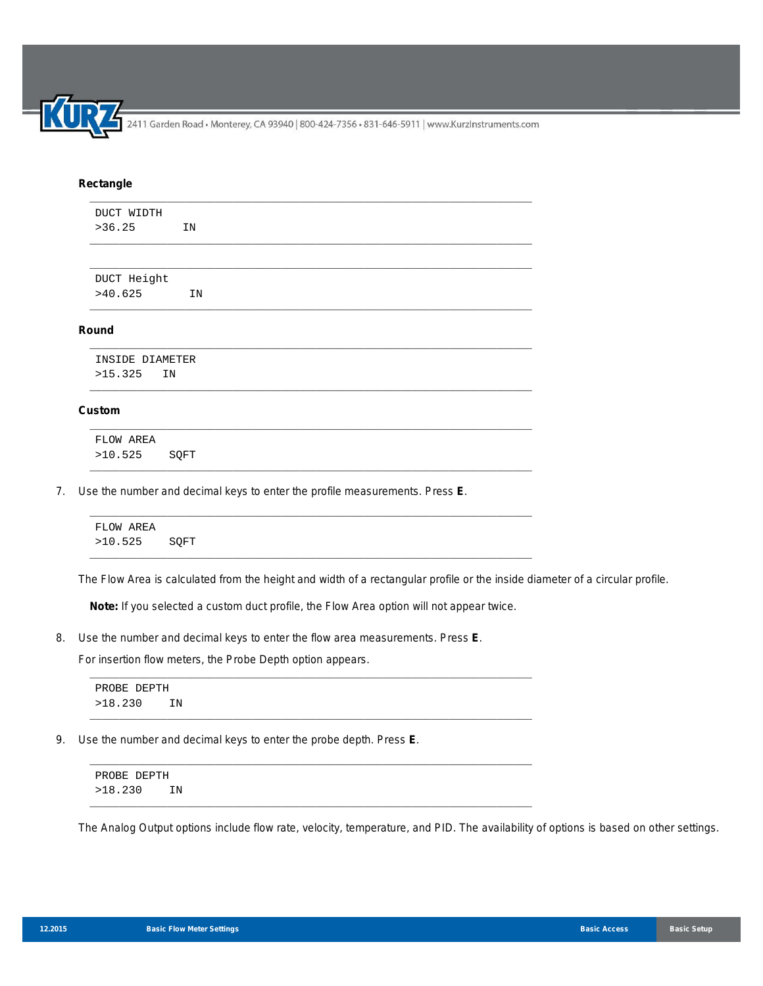## **Rectangle**

| DUCT WIDTH      |    |  |  |  |
|-----------------|----|--|--|--|
| >36.25          | IN |  |  |  |
|                 |    |  |  |  |
| DUCT Height     |    |  |  |  |
| >40.625         | IN |  |  |  |
|                 |    |  |  |  |
| Round           |    |  |  |  |
| INSIDE DIAMETER |    |  |  |  |
| >15.325         | IN |  |  |  |

\_\_\_\_\_\_\_\_\_\_\_\_\_\_\_\_\_\_\_\_\_\_\_\_\_\_\_\_\_\_\_\_\_\_\_\_\_\_\_\_\_\_\_\_\_\_\_\_\_\_\_\_\_\_\_\_\_\_\_\_\_\_\_\_\_\_\_\_\_\_\_\_\_\_

\_\_\_\_\_\_\_\_\_\_\_\_\_\_\_\_\_\_\_\_\_\_\_\_\_\_\_\_\_\_\_\_\_\_\_\_\_\_\_\_\_\_\_\_\_\_\_\_\_\_\_\_\_\_\_\_\_\_\_\_\_\_\_\_\_\_\_\_\_\_\_\_\_\_

\_\_\_\_\_\_\_\_\_\_\_\_\_\_\_\_\_\_\_\_\_\_\_\_\_\_\_\_\_\_\_\_\_\_\_\_\_\_\_\_\_\_\_\_\_\_\_\_\_\_\_\_\_\_\_\_\_\_\_\_\_\_\_\_\_\_\_\_\_\_\_\_\_\_

## **Custom**

FLOW AREA >10.525 SQFT

7. Use the number and decimal keys to enter the profile measurements. Press **E**.

| FLOW AREA    |  |
|--------------|--|
| >10.525 SQFT |  |

The Flow Area is calculated from the height and width of a rectangular profile or the inside diameter of a circular profile.

**Note:** If you selected a custom duct profile, the Flow Area option will not appear twice.

\_\_\_\_\_\_\_\_\_\_\_\_\_\_\_\_\_\_\_\_\_\_\_\_\_\_\_\_\_\_\_\_\_\_\_\_\_\_\_\_\_\_\_\_\_\_\_\_\_\_\_\_\_\_\_\_\_\_\_\_\_\_\_\_\_\_\_\_\_\_\_\_\_\_

\_\_\_\_\_\_\_\_\_\_\_\_\_\_\_\_\_\_\_\_\_\_\_\_\_\_\_\_\_\_\_\_\_\_\_\_\_\_\_\_\_\_\_\_\_\_\_\_\_\_\_\_\_\_\_\_\_\_\_\_\_\_\_\_\_\_\_\_\_\_\_\_\_\_

\_\_\_\_\_\_\_\_\_\_\_\_\_\_\_\_\_\_\_\_\_\_\_\_\_\_\_\_\_\_\_\_\_\_\_\_\_\_\_\_\_\_\_\_\_\_\_\_\_\_\_\_\_\_\_\_\_\_\_\_\_\_\_\_\_\_\_\_\_\_\_\_\_\_

\_\_\_\_\_\_\_\_\_\_\_\_\_\_\_\_\_\_\_\_\_\_\_\_\_\_\_\_\_\_\_\_\_\_\_\_\_\_\_\_\_\_\_\_\_\_\_\_\_\_\_\_\_\_\_\_\_\_\_\_\_\_\_\_\_\_\_\_\_\_\_\_\_\_

8. Use the number and decimal keys to enter the flow area measurements. Press **E**.

For insertion flow meters, the Probe Depth option appears.

PROBE DEPTH >18.230 IN

9. Use the number and decimal keys to enter the probe depth. Press **E**.

PROBE DEPTH >18.230 IN

The Analog Output options include flow rate, velocity, temperature, and PID. The availability of options is based on other settings.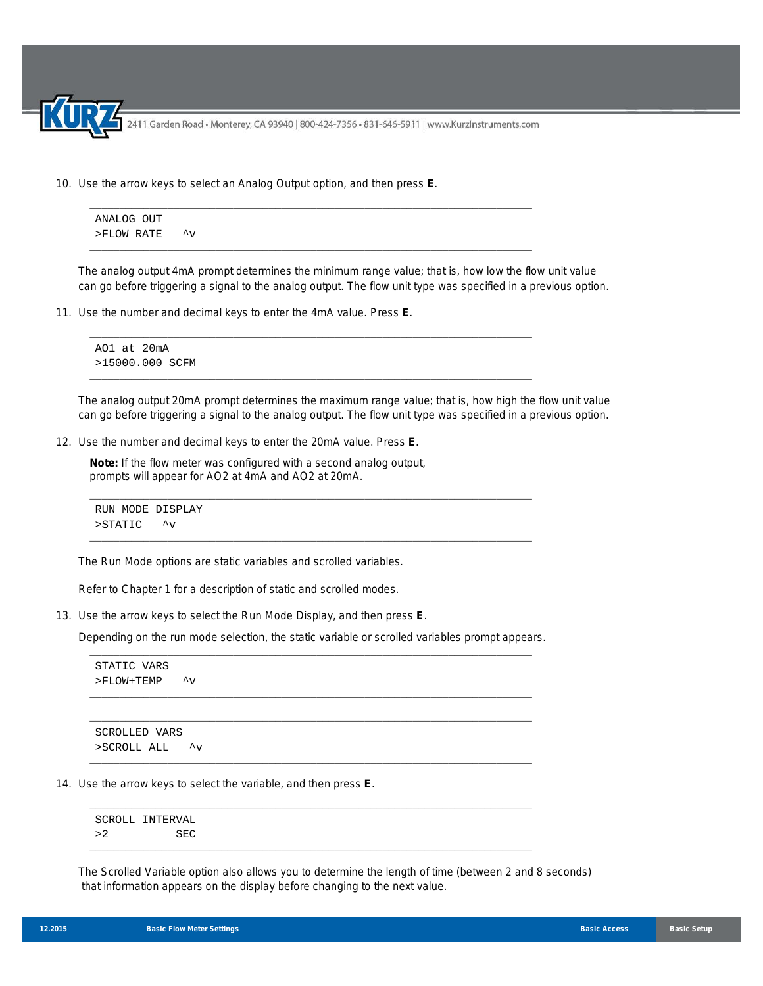10. Use the arrow keys to select an Analog Output option, and then press **E**.

ANALOG OUT

\n
$$
> \text{FLOW RATE}
$$

\n $\sim$ 

\_\_\_\_\_\_\_\_\_\_\_\_\_\_\_\_\_\_\_\_\_\_\_\_\_\_\_\_\_\_\_\_\_\_\_\_\_\_\_\_\_\_\_\_\_\_\_\_\_\_\_\_\_\_\_\_\_\_\_\_\_\_\_\_\_\_\_\_\_\_\_\_\_\_

\_\_\_\_\_\_\_\_\_\_\_\_\_\_\_\_\_\_\_\_\_\_\_\_\_\_\_\_\_\_\_\_\_\_\_\_\_\_\_\_\_\_\_\_\_\_\_\_\_\_\_\_\_\_\_\_\_\_\_\_\_\_\_\_\_\_\_\_\_\_\_\_\_\_

\_\_\_\_\_\_\_\_\_\_\_\_\_\_\_\_\_\_\_\_\_\_\_\_\_\_\_\_\_\_\_\_\_\_\_\_\_\_\_\_\_\_\_\_\_\_\_\_\_\_\_\_\_\_\_\_\_\_\_\_\_\_\_\_\_\_\_\_\_\_\_\_\_\_

\_\_\_\_\_\_\_\_\_\_\_\_\_\_\_\_\_\_\_\_\_\_\_\_\_\_\_\_\_\_\_\_\_\_\_\_\_\_\_\_\_\_\_\_\_\_\_\_\_\_\_\_\_\_\_\_\_\_\_\_\_\_\_\_\_\_\_\_\_\_\_\_\_\_

The analog output 4mA prompt determines the minimum range value; that is, how low the flow unit value can go before triggering a signal to the analog output. The flow unit type was specified in a previous option.

11. Use the number and decimal keys to enter the 4mA value. Press **E**.

```
AO1 at 20mA
>15000.000 SCFM
```
The analog output 20mA prompt determines the maximum range value; that is, how high the flow unit value can go before triggering a signal to the analog output. The flow unit type was specified in a previous option.

12. Use the number and decimal keys to enter the 20mA value. Press **E**.

**Note:** If the flow meter was configured with a second analog output, prompts will appear for AO2 at 4mA and AO2 at 20mA.

```
RUN MODE DISPLAY
>STATIC ^v
```
The Run Mode options are static variables and scrolled variables.

Refer to Chapter 1 for a description of static and scrolled modes.

13. Use the arrow keys to select the Run Mode Display, and then press **E**.

Depending on the run mode selection, the static variable or scrolled variables prompt appears. \_\_\_\_\_\_\_\_\_\_\_\_\_\_\_\_\_\_\_\_\_\_\_\_\_\_\_\_\_\_\_\_\_\_\_\_\_\_\_\_\_\_\_\_\_\_\_\_\_\_\_\_\_\_\_\_\_\_\_\_\_\_\_\_\_\_\_\_\_\_\_\_\_\_

\_\_\_\_\_\_\_\_\_\_\_\_\_\_\_\_\_\_\_\_\_\_\_\_\_\_\_\_\_\_\_\_\_\_\_\_\_\_\_\_\_\_\_\_\_\_\_\_\_\_\_\_\_\_\_\_\_\_\_\_\_\_\_\_\_\_\_\_\_\_\_\_\_\_ \_\_\_\_\_\_\_\_\_\_\_\_\_\_\_\_\_\_\_\_\_\_\_\_\_\_\_\_\_\_\_\_\_\_\_\_\_\_\_\_\_\_\_\_\_\_\_\_\_\_\_\_\_\_\_\_\_\_\_\_\_\_\_\_\_\_\_\_\_\_\_\_\_\_

\_\_\_\_\_\_\_\_\_\_\_\_\_\_\_\_\_\_\_\_\_\_\_\_\_\_\_\_\_\_\_\_\_\_\_\_\_\_\_\_\_\_\_\_\_\_\_\_\_\_\_\_\_\_\_\_\_\_\_\_\_\_\_\_\_\_\_\_\_\_\_\_\_\_

\_\_\_\_\_\_\_\_\_\_\_\_\_\_\_\_\_\_\_\_\_\_\_\_\_\_\_\_\_\_\_\_\_\_\_\_\_\_\_\_\_\_\_\_\_\_\_\_\_\_\_\_\_\_\_\_\_\_\_\_\_\_\_\_\_\_\_\_\_\_\_\_\_\_

\_\_\_\_\_\_\_\_\_\_\_\_\_\_\_\_\_\_\_\_\_\_\_\_\_\_\_\_\_\_\_\_\_\_\_\_\_\_\_\_\_\_\_\_\_\_\_\_\_\_\_\_\_\_\_\_\_\_\_\_\_\_\_\_\_\_\_\_\_\_\_\_\_\_

```
STATIC VARS
>FLOW+TEMP ^v
```
SCROLLED VARS >SCROLL ALL ^v

14. Use the arrow keys to select the variable, and then press **E**.

SCROLL INTERVAL >2 SEC

The Scrolled Variable option also allows you to determine the length of time (between 2 and 8 seconds) that information appears on the display before changing to the next value.